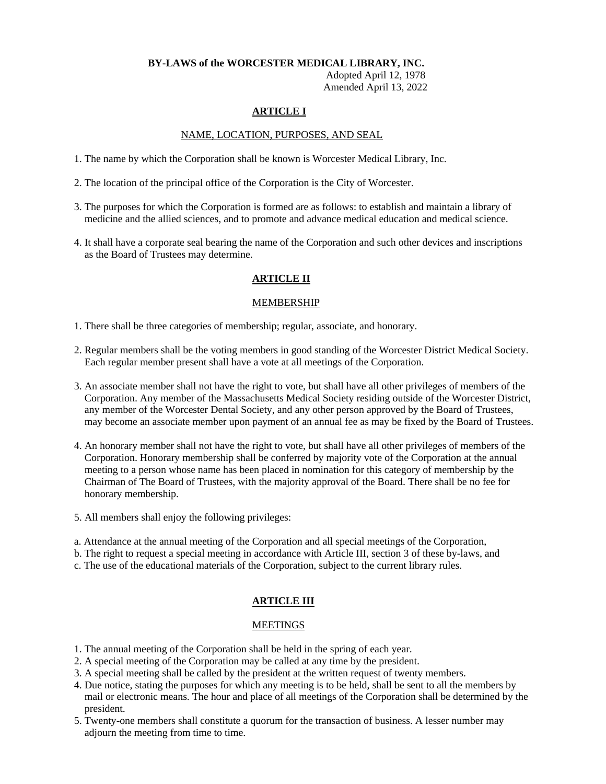# **BY-LAWS of the WORCESTER MEDICAL LIBRARY, INC.**

 Adopted April 12, 1978 Amended April 13, 2022

# **ARTICLE I**

## NAME, LOCATION, PURPOSES, AND SEAL

- 1. The name by which the Corporation shall be known is Worcester Medical Library, Inc.
- 2. The location of the principal office of the Corporation is the City of Worcester.
- 3. The purposes for which the Corporation is formed are as follows: to establish and maintain a library of medicine and the allied sciences, and to promote and advance medical education and medical science.
- 4. It shall have a corporate seal bearing the name of the Corporation and such other devices and inscriptions as the Board of Trustees may determine.

# **ARTICLE II**

# MEMBERSHIP

- 1. There shall be three categories of membership; regular, associate, and honorary.
- 2. Regular members shall be the voting members in good standing of the Worcester District Medical Society. Each regular member present shall have a vote at all meetings of the Corporation.
- 3. An associate member shall not have the right to vote, but shall have all other privileges of members of the Corporation. Any member of the Massachusetts Medical Society residing outside of the Worcester District, any member of the Worcester Dental Society, and any other person approved by the Board of Trustees, may become an associate member upon payment of an annual fee as may be fixed by the Board of Trustees.
- 4. An honorary member shall not have the right to vote, but shall have all other privileges of members of the Corporation. Honorary membership shall be conferred by majority vote of the Corporation at the annual meeting to a person whose name has been placed in nomination for this category of membership by the Chairman of The Board of Trustees, with the majority approval of the Board. There shall be no fee for honorary membership.
- 5. All members shall enjoy the following privileges:
- a. Attendance at the annual meeting of the Corporation and all special meetings of the Corporation,
- b. The right to request a special meeting in accordance with Article III, section 3 of these by-laws, and
- c. The use of the educational materials of the Corporation, subject to the current library rules.

## **ARTICLE III**

## MEETINGS

- 1. The annual meeting of the Corporation shall be held in the spring of each year.
- 2. A special meeting of the Corporation may be called at any time by the president.
- 3. A special meeting shall be called by the president at the written request of twenty members.
- 4. Due notice, stating the purposes for which any meeting is to be held, shall be sent to all the members by mail or electronic means. The hour and place of all meetings of the Corporation shall be determined by the president.
- 5. Twenty-one members shall constitute a quorum for the transaction of business. A lesser number may adjourn the meeting from time to time.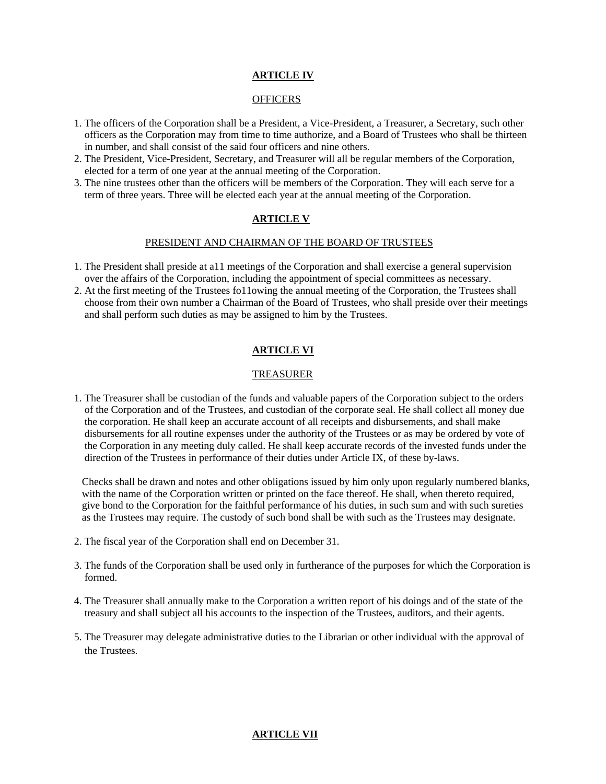# **ARTICLE IV**

#### **OFFICERS**

- 1. The officers of the Corporation shall be a President, a Vice-President, a Treasurer, a Secretary, such other officers as the Corporation may from time to time authorize, and a Board of Trustees who shall be thirteen in number, and shall consist of the said four officers and nine others.
- 2. The President, Vice-President, Secretary, and Treasurer will all be regular members of the Corporation, elected for a term of one year at the annual meeting of the Corporation.
- 3. The nine trustees other than the officers will be members of the Corporation. They will each serve for a term of three years. Three will be elected each year at the annual meeting of the Corporation.

# **ARTICLE V**

#### PRESIDENT AND CHAIRMAN OF THE BOARD OF TRUSTEES

- 1. The President shall preside at a11 meetings of the Corporation and shall exercise a general supervision over the affairs of the Corporation, including the appointment of special committees as necessary.
- 2. At the first meeting of the Trustees fo11owing the annual meeting of the Corporation, the Trustees shall choose from their own number a Chairman of the Board of Trustees, who shall preside over their meetings and shall perform such duties as may be assigned to him by the Trustees.

## **ARTICLE VI**

## TREASURER

1. The Treasurer shall be custodian of the funds and valuable papers of the Corporation subject to the orders of the Corporation and of the Trustees, and custodian of the corporate seal. He shall collect all money due the corporation. He shall keep an accurate account of all receipts and disbursements, and shall make disbursements for all routine expenses under the authority of the Trustees or as may be ordered by vote of the Corporation in any meeting duly called. He shall keep accurate records of the invested funds under the direction of the Trustees in performance of their duties under Article IX, of these by-laws.

 Checks shall be drawn and notes and other obligations issued by him only upon regularly numbered blanks, with the name of the Corporation written or printed on the face thereof. He shall, when thereto required, give bond to the Corporation for the faithful performance of his duties, in such sum and with such sureties as the Trustees may require. The custody of such bond shall be with such as the Trustees may designate.

- 2. The fiscal year of the Corporation shall end on December 31.
- 3. The funds of the Corporation shall be used only in furtherance of the purposes for which the Corporation is formed.
- 4. The Treasurer shall annually make to the Corporation a written report of his doings and of the state of the treasury and shall subject all his accounts to the inspection of the Trustees, auditors, and their agents.
- 5. The Treasurer may delegate administrative duties to the Librarian or other individual with the approval of the Trustees.

# **ARTICLE VII**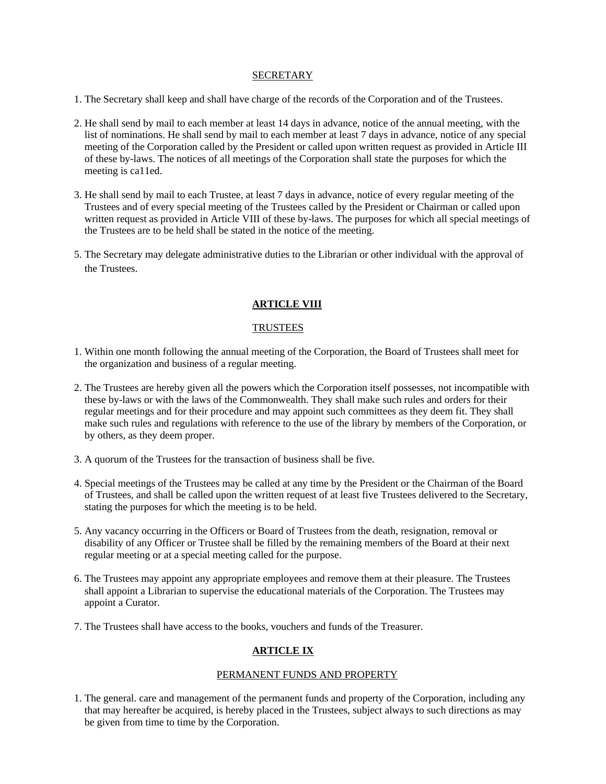#### **SECRETARY**

- 1. The Secretary shall keep and shall have charge of the records of the Corporation and of the Trustees.
- 2. He shall send by mail to each member at least 14 days in advance, notice of the annual meeting, with the list of nominations. He shall send by mail to each member at least 7 days in advance, notice of any special meeting of the Corporation called by the President or called upon written request as provided in Article III of these by-laws. The notices of all meetings of the Corporation shall state the purposes for which the meeting is ca11ed.
- 3. He shall send by mail to each Trustee, at least 7 days in advance, notice of every regular meeting of the Trustees and of every special meeting of the Trustees called by the President or Chairman or called upon written request as provided in Article VIII of these by-laws. The purposes for which all special meetings of the Trustees are to be held shall be stated in the notice of the meeting.
- 5. The Secretary may delegate administrative duties to the Librarian or other individual with the approval of the Trustees.

## **ARTICLE VIII**

## **TRUSTEES**

- 1. Within one month following the annual meeting of the Corporation, the Board of Trustees shall meet for the organization and business of a regular meeting.
- 2. The Trustees are hereby given all the powers which the Corporation itself possesses, not incompatible with these by-laws or with the laws of the Commonwealth. They shall make such rules and orders for their regular meetings and for their procedure and may appoint such committees as they deem fit. They shall make such rules and regulations with reference to the use of the library by members of the Corporation, or by others, as they deem proper.
- 3. A quorum of the Trustees for the transaction of business shall be five.
- 4. Special meetings of the Trustees may be called at any time by the President or the Chairman of the Board of Trustees, and shall be called upon the written request of at least five Trustees delivered to the Secretary, stating the purposes for which the meeting is to be held.
- 5. Any vacancy occurring in the Officers or Board of Trustees from the death, resignation, removal or disability of any Officer or Trustee shall be filled by the remaining members of the Board at their next regular meeting or at a special meeting called for the purpose.
- 6. The Trustees may appoint any appropriate employees and remove them at their pleasure. The Trustees shall appoint a Librarian to supervise the educational materials of the Corporation. The Trustees may appoint a Curator.
- 7. The Trustees shall have access to the books, vouchers and funds of the Treasurer.

# **ARTICLE IX**

## PERMANENT FUNDS AND PROPERTY

1. The general. care and management of the permanent funds and property of the Corporation, including any that may hereafter be acquired, is hereby placed in the Trustees, subject always to such directions as may be given from time to time by the Corporation.